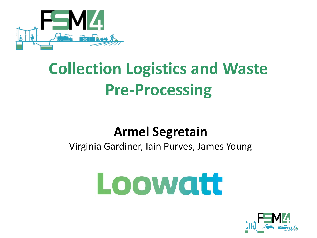

# **Collection Logistics and Waste Pre-Processing**

### **Armel Segretain**

### Virginia Gardiner, Iain Purves, James Young

# Loowatt

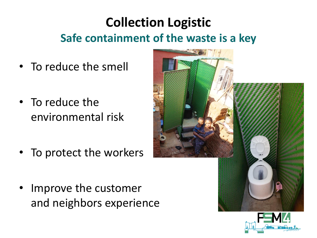## **Collection Logistic Safe containment of the waste is a key**

- To reduce the smell
- To reduce the environmental risk
- To protect the workers
- Improve the customer and neighbors experience



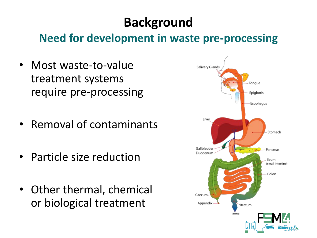# **Background**

### **Need for development in waste pre-processing**

- Most waste-to-value treatment systems require pre-processing
- Removal of contaminants
- Particle size reduction
- Other thermal, chemical or biological treatment

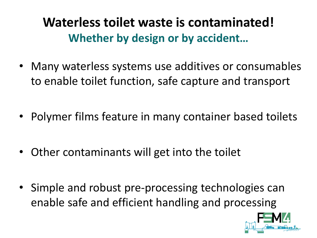**Waterless toilet waste is contaminated! Whether by design or by accident…**

- Many waterless systems use additives or consumables to enable toilet function, safe capture and transport
- Polymer films feature in many container based toilets
- Other contaminants will get into the toilet
- Simple and robust pre-processing technologies can enable safe and efficient handling and processing

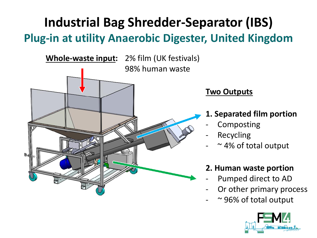### **Industrial Bag Shredder-Separator (IBS) Plug-in at utility Anaerobic Digester, United Kingdom**



#### **Two Outputs**

- **1. Separated film portion**
- **Composting**
- **Recycling**
- $\sim$  4% of total output

#### **2. Human waste portion**

- Pumped direct to AD
- Or other primary process
- $\sim$  96% of total output

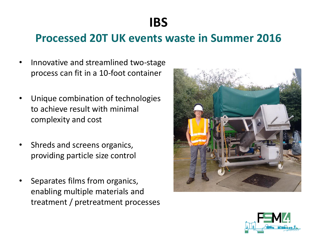**IBS** 

### **Processed 20T UK events waste in Summer 2016**

- Innovative and streamlined two-stage process can fit in a 10-foot container
- Unique combination of technologies to achieve result with minimal complexity and cost
- Shreds and screens organics, providing particle size control
- Separates films from organics, enabling multiple materials and treatment / pretreatment processes



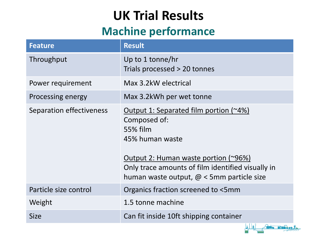# **UK Trial Results**

### **Machine performance**

| <b>Feature</b>                  | <b>Result</b>                                                                                                                                                                                                                          |
|---------------------------------|----------------------------------------------------------------------------------------------------------------------------------------------------------------------------------------------------------------------------------------|
| Throughput                      | Up to 1 tonne/hr<br>Trials processed > 20 tonnes                                                                                                                                                                                       |
| Power requirement               | Max 3.2 kW electrical                                                                                                                                                                                                                  |
| Processing energy               | Max 3.2kWh per wet tonne                                                                                                                                                                                                               |
| <b>Separation effectiveness</b> | Output 1: Separated film portion (~4%)<br>Composed of:<br>55% film<br>45% human waste<br>Output 2: Human waste portion (~96%)<br>Only trace amounts of film identified visually in<br>human waste output, $\omega$ < 5mm particle size |
| Particle size control           | Organics fraction screened to <5mm                                                                                                                                                                                                     |
| Weight                          | 1.5 tonne machine                                                                                                                                                                                                                      |
| <b>Size</b>                     | Can fit inside 10ft shipping container                                                                                                                                                                                                 |

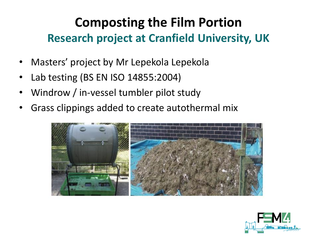## **Composting the Film Portion Research project at Cranfield University, UK**

- Masters' project by Mr Lepekola Lepekola
- Lab testing (BS EN ISO 14855:2004)
- Windrow / in-vessel tumbler pilot study
- Grass clippings added to create autothermal mix



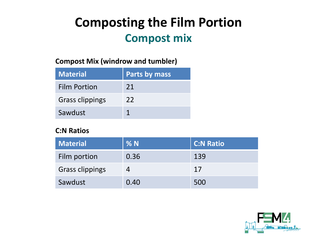### **Composting the Film Portion Compost mix**

#### **Compost Mix (windrow and tumbler)**

| <b>Material</b>        | Parts by mass |
|------------------------|---------------|
| <b>Film Portion</b>    | 21            |
| <b>Grass clippings</b> | 22            |
| Sawdust                |               |

#### **C:N Ratios**

| Material               | %N   | <b>C:N Ratio</b> |
|------------------------|------|------------------|
| Film portion           | 0.36 | 139              |
| <b>Grass clippings</b> |      | 17               |
| Sawdust                | 0.40 | 500              |

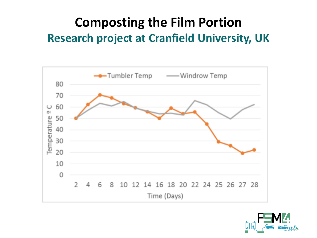### **Composting the Film Portion Research project at Cranfield University, UK**



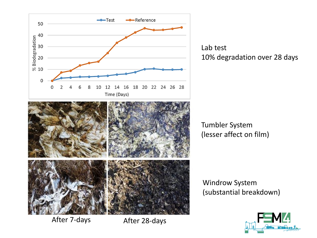

Lab test 10% degradation over 28 days

Tumbler System (lesser affect on film)

Windrow System (substantial breakdown)



After 7-days After 28-days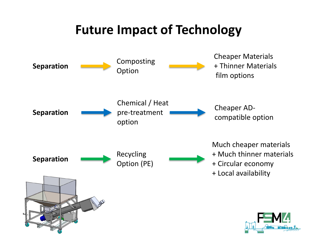### **Future Impact of Technology**